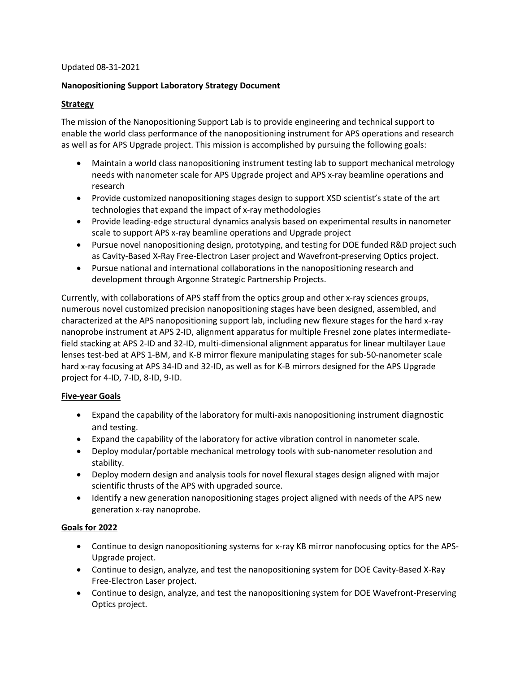# Updated 08-31-2021

# **Nanopositioning Support Laboratory Strategy Document**

# **Strategy**

The mission of the Nanopositioning Support Lab is to provide engineering and technical support to enable the world class performance of the nanopositioning instrument for APS operations and research as well as for APS Upgrade project. This mission is accomplished by pursuing the following goals:

- Maintain a world class nanopositioning instrument testing lab to support mechanical metrology needs with nanometer scale for APS Upgrade project and APS x-ray beamline operations and research
- Provide customized nanopositioning stages design to support XSD scientist's state of the art technologies that expand the impact of x-ray methodologies
- Provide leading-edge structural dynamics analysis based on experimental results in nanometer scale to support APS x-ray beamline operations and Upgrade project
- Pursue novel nanopositioning design, prototyping, and testing for DOE funded R&D project such as Cavity-Based X-Ray Free-Electron Laser project and Wavefront-preserving Optics project.
- Pursue national and international collaborations in the nanopositioning research and development through Argonne Strategic Partnership Projects.

Currently, with collaborations of APS staff from the optics group and other x-ray sciences groups, numerous novel customized precision nanopositioning stages have been designed, assembled, and characterized at the APS nanopositioning support lab, including new flexure stages for the hard x-ray nanoprobe instrument at APS 2-ID, alignment apparatus for multiple Fresnel zone plates intermediatefield stacking at APS 2-ID and 32-ID, multi-dimensional alignment apparatus for linear multilayer Laue lenses test-bed at APS 1-BM, and K-B mirror flexure manipulating stages for sub-50-nanometer scale hard x-ray focusing at APS 34-ID and 32-ID, as well as for K-B mirrors designed for the APS Upgrade project for 4-ID, 7-ID, 8-ID, 9-ID.

# **Five-year Goals**

- Expand the capability of the laboratory for multi-axis nanopositioning instrument diagnostic and testing.
- Expand the capability of the laboratory for active vibration control in nanometer scale.
- Deploy modular/portable mechanical metrology tools with sub-nanometer resolution and stability.
- Deploy modern design and analysis tools for novel flexural stages design aligned with major scientific thrusts of the APS with upgraded source.
- Identify a new generation nanopositioning stages project aligned with needs of the APS new generation x-ray nanoprobe.

# **Goals for 2022**

- Continue to design nanopositioning systems for x-ray KB mirror nanofocusing optics for the APS-Upgrade project.
- Continue to design, analyze, and test the nanopositioning system for DOE Cavity-Based X-Ray Free-Electron Laser project.
- Continue to design, analyze, and test the nanopositioning system for DOE Wavefront-Preserving Optics project.